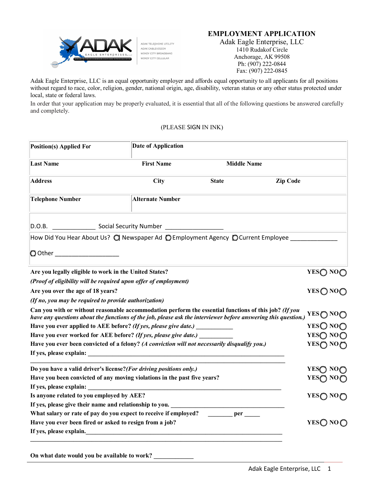## **EMPLOYMENT APPLICATION**



ADAK TELEPHONE UTILITY ADAK CABLEVISION WINDY CITY BROADBAND WINDY CITY CELLULAR

Adak Eagle Enterprise, LLC 1410 Rudakof Circle Anchorage, AK 99508 Ph: (907) 222-0844 Fax: (907) 222-0845

Adak Eagle Enterprise, LLC is an equal opportunity employer and affords equal opportunity to all applicants for all positions without regard to race, color, religion, gender, national origin, age, disability, veteran status or any other status protected under local, state or federal laws.

In order that your application may be properly evaluated, it is essential that all of the following questions be answered carefully and completely.

## (PLEASE SIGN IN INK)

| <b>Position(s) Applied For</b>                                                                                                                                                                                          | <b>Date of Application</b> |                                                 |                 |                     |
|-------------------------------------------------------------------------------------------------------------------------------------------------------------------------------------------------------------------------|----------------------------|-------------------------------------------------|-----------------|---------------------|
| <b>Last Name</b>                                                                                                                                                                                                        | <b>First Name</b>          | <b>Middle Name</b>                              |                 |                     |
| <b>Address</b>                                                                                                                                                                                                          | City                       | <b>State</b>                                    | <b>Zip Code</b> |                     |
| <b>Telephone Number</b>                                                                                                                                                                                                 | <b>Alternate Number</b>    |                                                 |                 |                     |
| D.O.B. Social Security Number <b>Community</b> Constant Community On the Security Number                                                                                                                                |                            |                                                 |                 |                     |
| How Did You Hear About Us? (C Newspaper Ad (C Employment Agency (C Current Employee                                                                                                                                     |                            |                                                 |                 |                     |
| O Other ____________________                                                                                                                                                                                            |                            |                                                 |                 |                     |
| Are you legally eligible to work in the United States?                                                                                                                                                                  |                            |                                                 |                 | YESO NO             |
| (Proof of eligibility will be required upon offer of employment)                                                                                                                                                        |                            |                                                 |                 |                     |
| Are you over the age of 18 years?                                                                                                                                                                                       |                            |                                                 |                 | YES@NO@             |
| (If no, you may be required to provide authorization)                                                                                                                                                                   |                            |                                                 |                 |                     |
| Can you with or without reasonable accommodation perform the essential functions of this job? (If you<br>have any questions about the functions of the job, please ask the interviewer before answering this question.) |                            |                                                 |                 | YES∩ NO∩            |
| Have you ever applied to AEE before? (If yes, please give date.) ___________                                                                                                                                            |                            |                                                 |                 | YESO NOO            |
| Have you ever worked for AEE before? (If yes, please give date.)                                                                                                                                                        |                            |                                                 |                 | YESO NOO            |
| Have you ever been convicted of a felony? (A conviction will not necessarily disqualify you.)                                                                                                                           |                            |                                                 |                 | YESO NOO            |
| If yes, please explain:                                                                                                                                                                                                 |                            |                                                 |                 |                     |
| Do you have a valid driver's license? (For driving positions only.)                                                                                                                                                     |                            |                                                 |                 | YES◯ NO             |
| Have you been convicted of any moving violations in the past five years?                                                                                                                                                |                            |                                                 |                 | YES∩ NO <sub></sub> |
| If yes, please explain:                                                                                                                                                                                                 |                            |                                                 |                 |                     |
| Is anyone related to you employed by AEE?                                                                                                                                                                               |                            |                                                 |                 | YES∩ NO∩            |
| If yes, please give their name and relationship to you. ________________________                                                                                                                                        |                            |                                                 |                 |                     |
| What salary or rate of pay do you expect to receive if employed?                                                                                                                                                        |                            | $\rule{1em}{0.15mm}$ per $\rule{1.5mm}{0.15mm}$ |                 |                     |
| Have you ever been fired or asked to resign from a job?                                                                                                                                                                 |                            |                                                 |                 | YESO NOO            |
| If yes, please explain.                                                                                                                                                                                                 |                            |                                                 |                 |                     |

On what date would you be available to work?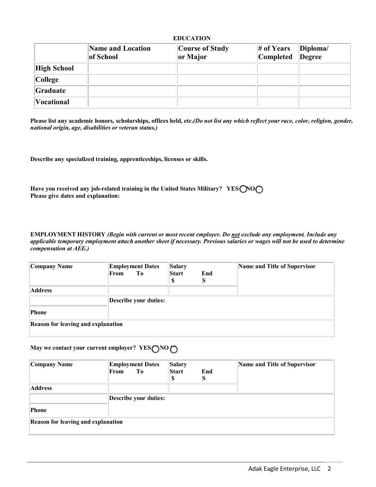| <b>EDUCATION</b>  |                                |                             |                           |                    |  |  |  |
|-------------------|--------------------------------|-----------------------------|---------------------------|--------------------|--|--|--|
|                   | Name and Location<br>of School | Course of Study<br>or Major | $#$ of Years<br>Completed | Diploma/<br>Degree |  |  |  |
| High School       |                                |                             |                           |                    |  |  |  |
| College           |                                |                             |                           |                    |  |  |  |
| Graduate          |                                |                             |                           |                    |  |  |  |
| <b>Vocational</b> |                                |                             |                           |                    |  |  |  |

**Please list any academic honors, scholarships, offices held, etc.***(Do not list any which reflect your race, color, religion, gender, national origin, age, disabilities or veteran status.)*

**Describe any specialized training, apprenticeships, licenses or skills.** 

| Have you received any job-related training in the United States Military? YESONOO |  |
|-----------------------------------------------------------------------------------|--|
| Please give dates and explanation:                                                |  |

**EMPLOYMENT HISTORY** *(Begin with current or most recent employer. Do not exclude any employment. Include any applicable temporary employment attach another sheet if necessary. Previous salaries or wages will not be used to determine compensation at AEE.)*

| Company Name                              | <b>Employment Dates</b><br>From<br>To | Salary<br><b>Start</b> | End<br>S | Name and Title of Supervisor |
|-------------------------------------------|---------------------------------------|------------------------|----------|------------------------------|
| <b>Address</b>                            |                                       |                        |          |                              |
|                                           | Describe your duties:                 |                        |          |                              |
| Phone                                     |                                       |                        |          |                              |
| <b>Reason for leaving and explanation</b> |                                       |                        |          |                              |

# **May we contact your current employer? YES**  $\bigcap$  **<b>NO**  $\bigcap$

| Company Name                              | <b>Employment Dates</b><br>To<br>From | <b>Salary</b><br>Start<br>S | End<br>ు | Name and Title of Supervisor |
|-------------------------------------------|---------------------------------------|-----------------------------|----------|------------------------------|
| <b>Address</b>                            |                                       |                             |          |                              |
|                                           | Describe your duties:                 |                             |          |                              |
| Phone                                     |                                       |                             |          |                              |
| <b>Reason for leaving and explanation</b> |                                       |                             |          |                              |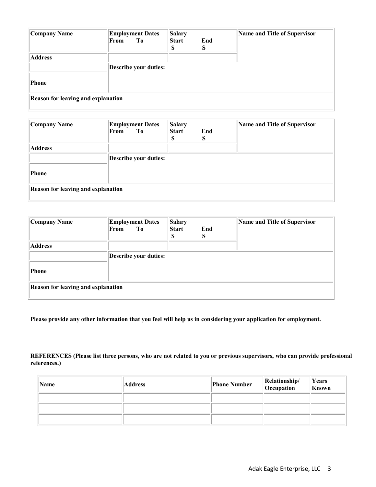| <b>Company Name</b>                       | <b>Employment Dates</b><br>From<br>To | <b>Salary</b><br>Start<br>G.<br>D | End<br>S | Name and Title of Supervisor |
|-------------------------------------------|---------------------------------------|-----------------------------------|----------|------------------------------|
| <b>Address</b>                            |                                       |                                   |          |                              |
|                                           | Describe your duties:                 |                                   |          |                              |
| Phone                                     |                                       |                                   |          |                              |
| <b>Reason for leaving and explanation</b> |                                       |                                   |          |                              |

| Company Name                              | <b>Employment Dates</b><br>From<br>To | <b>Salary</b><br><b>Start</b> | End<br>S | Name and Title of Supervisor |
|-------------------------------------------|---------------------------------------|-------------------------------|----------|------------------------------|
| <b>Address</b>                            |                                       |                               |          |                              |
|                                           | Describe your duties:                 |                               |          |                              |
| Phone                                     |                                       |                               |          |                              |
| <b>Reason for leaving and explanation</b> |                                       |                               |          |                              |

| Company Name                              | <b>Employment Dates</b><br>From<br>To | <b>Salary</b><br><b>Start</b><br>e<br>D | End<br>S | Name and Title of Supervisor |
|-------------------------------------------|---------------------------------------|-----------------------------------------|----------|------------------------------|
| <b>Address</b>                            |                                       |                                         |          |                              |
|                                           | Describe your duties:                 |                                         |          |                              |
| Phone                                     |                                       |                                         |          |                              |
| <b>Reason for leaving and explanation</b> |                                       |                                         |          |                              |

**Please provide any other information that you feel will help us in considering your application for employment.** 

## **REFERENCES (Please list three persons, who are not related to you or previous supervisors, who can provide professional references.)**

| Name | <b>Address</b> | <b>Phone Number</b> | Relationship/<br>Occupation | Years<br>Known |
|------|----------------|---------------------|-----------------------------|----------------|
|      |                |                     |                             |                |
|      |                |                     |                             |                |
|      |                |                     |                             |                |